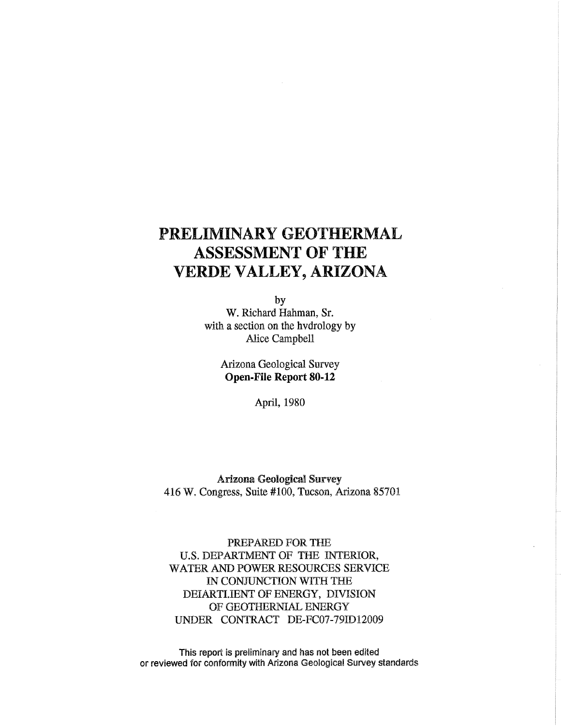# PRELIMINARY GEOTHERMAL ASSESSMENT OF THE VERDE VALLEY, ARIZONA

by

W. Richard Hahman, Sr. with a section on the hydrology by Alice Campbell

> Arizona Geological Survey Open-File Report 80-12

> > April, 1980

Arizona Geological Survey 416 W. Congress, Suite #100, Tucson, Arizona 85701

PREPARED FOR THE U.S. DEPARTMENT OF THE INTERIOR, WATER AND POWER RESOURCES SERVICE IN CONJUNCTION WITH THE DEIARTI.IENT OF ENERGY, DIVISION OF GEOTHERNIAL ENERGY UNDER CONTRACT DE-FC07-79ID12009

This report is preliminary and has not been edited or reviewed for conformity with Arizona Geological Survey standards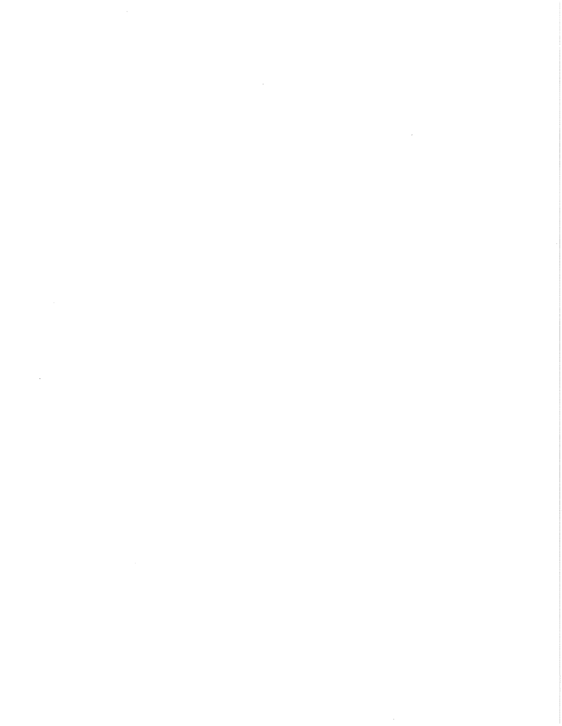$\label{eq:2} \frac{1}{\sqrt{2}}\int_{\mathbb{R}^3} \frac{1}{\sqrt{2}}\,d\mu\,d\mu\,.$  $\label{eq:2.1} \frac{1}{\sqrt{2}}\left(\frac{1}{\sqrt{2}}\right)^{2} \left(\frac{1}{\sqrt{2}}\right)^{2} \left(\frac{1}{\sqrt{2}}\right)^{2} \left(\frac{1}{\sqrt{2}}\right)^{2} \left(\frac{1}{\sqrt{2}}\right)^{2} \left(\frac{1}{\sqrt{2}}\right)^{2} \left(\frac{1}{\sqrt{2}}\right)^{2} \left(\frac{1}{\sqrt{2}}\right)^{2} \left(\frac{1}{\sqrt{2}}\right)^{2} \left(\frac{1}{\sqrt{2}}\right)^{2} \left(\frac{1}{\sqrt{2}}\right)^{2} \left(\$  $\label{eq:2.1} \frac{1}{\sqrt{2}}\int_{0}^{\infty}\frac{1}{\sqrt{2\pi}}\left(\frac{1}{\sqrt{2\pi}}\right)^{2\alpha} \frac{1}{\sqrt{2\pi}}\int_{0}^{\infty}\frac{1}{\sqrt{2\pi}}\left(\frac{1}{\sqrt{2\pi}}\right)^{\alpha} \frac{1}{\sqrt{2\pi}}\frac{1}{\sqrt{2\pi}}\int_{0}^{\infty}\frac{1}{\sqrt{2\pi}}\frac{1}{\sqrt{2\pi}}\frac{1}{\sqrt{2\pi}}\frac{1}{\sqrt{2\pi}}\frac{1}{\sqrt{2\pi}}\frac{1}{\sqrt{2\pi}}$  $\label{eq:2.1} \frac{1}{\sqrt{2}}\sum_{i=1}^n\frac{1}{\sqrt{2}}\sum_{i=1}^n\frac{1}{\sqrt{2}}\sum_{i=1}^n\frac{1}{\sqrt{2}}\sum_{i=1}^n\frac{1}{\sqrt{2}}\sum_{i=1}^n\frac{1}{\sqrt{2}}\sum_{i=1}^n\frac{1}{\sqrt{2}}\sum_{i=1}^n\frac{1}{\sqrt{2}}\sum_{i=1}^n\frac{1}{\sqrt{2}}\sum_{i=1}^n\frac{1}{\sqrt{2}}\sum_{i=1}^n\frac{1}{\sqrt{2}}\sum_{i=1}^n\frac$ 

 $\sim$   $\sigma$  .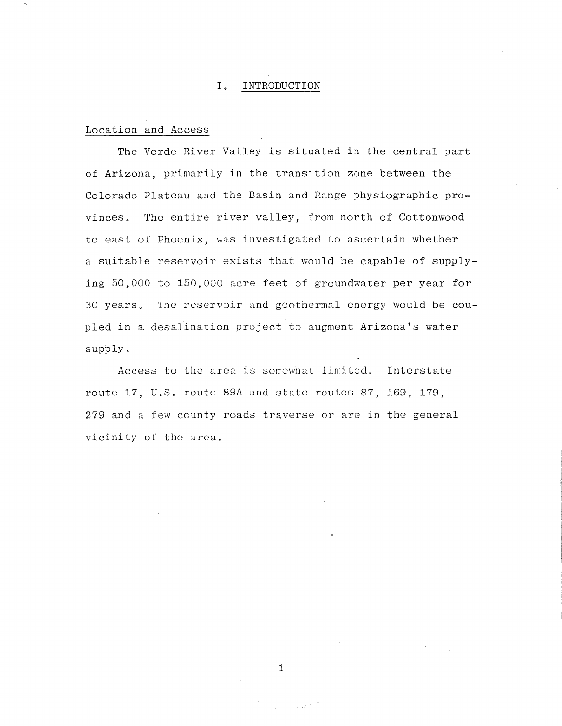#### I. INTRODUCTION

#### Location and Access

The Verde River Valley is situated **in** the central part of Arizona, primarily **in** the transition zone between the Colorado Plateau and the Basin and Range physiographic provinces. The entire river valley, from north of Cottonwood to east of Phoenix, was investigated to ascertain whether a suitable reservoir exists that would be capable of supplying 50,000 to 150,000 acre feet of groundwater per year for 30 years. The reservoir and geothermal energy would be coupled in a desalination project to augment Arizona's water supply.

Access to the area is somewhat limited. Interstate route 17, U.S. route *89A* and state routes 87, 169, 179, 279 and a few county roads traverse or are in the general vicinity of the area.

s shabar n<sup>a</sup>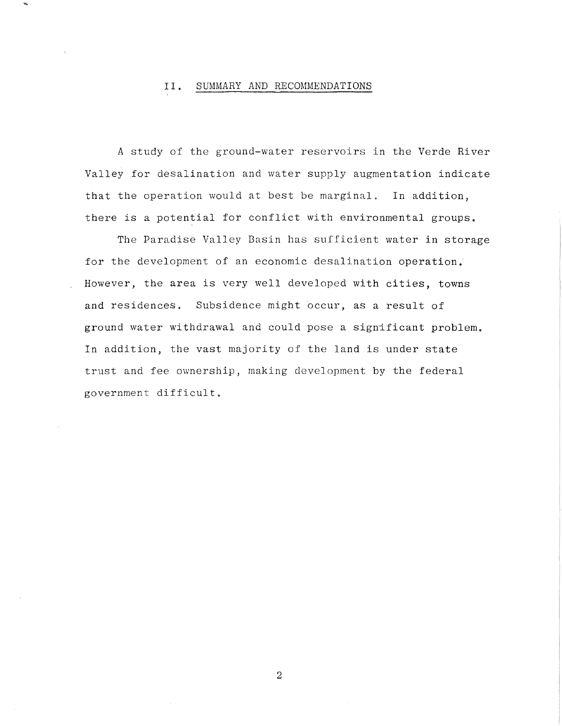#### II. SUMMARY AND RECOMMENDATIONS

A study of the ground-water reservoirs in the Verde River Valley for desalination and water supply augmentation indicate that the operation would at best be marginal. In addition, there is <sup>a</sup> potential for conflict with environmental groups.

The Paradise Valley Basin has sufficient water in storage for the development of an economic desalination operation. However, the area is very well developed with cities, towns and residences. Subsidence might occur, as <sup>a</sup> result of ground water withdrawal and could pose a significant problem. In addition, the vast majority of the land is under state trust and fee ownership, making development by the federal government difficult.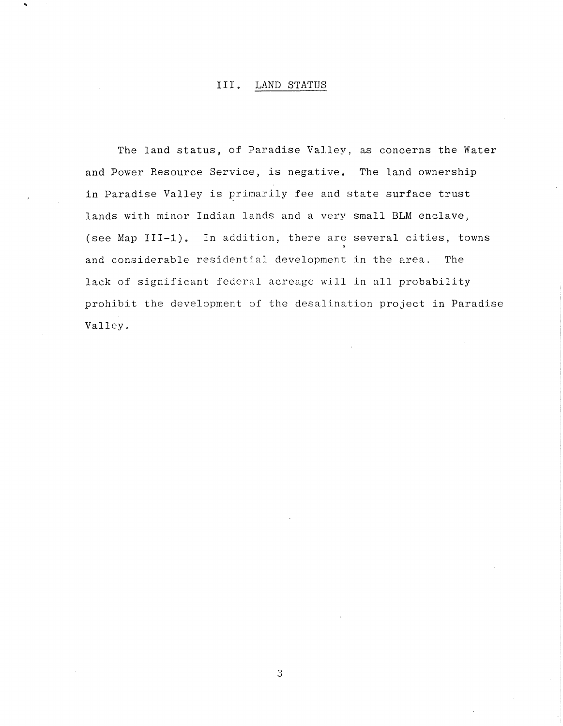#### III. LAND STATUS

The land status, of Paradise Val.ley, as concerns the Water and Power Resource Service, is negative. The land ownership in Paradise Valley is primarily fee and state surface trust lands with minor Indian lands and a very small BLM enclave, (see Map III-1). In addition, there are several cities, towns and considerable residential development in the area. The lack of significant federal acreage will in all probability prohibit the development of the desalination project in Paradise Valley.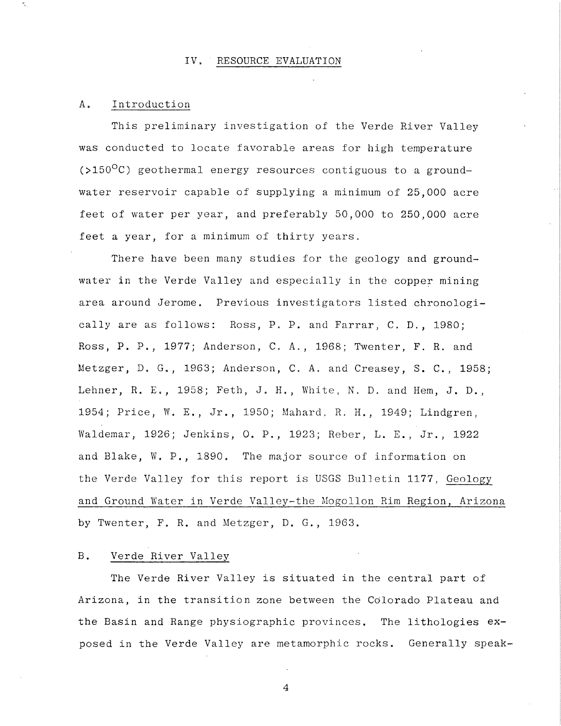#### IV. RESOURCE EVALUATION

#### A. Introduction

'.

This preliminary investigation of the Verde River Valley was conducted to locate favorable areas for high temperature  $($ >150<sup>o</sup>C) geothermal energy resources contiguous to a groundwater reservoir capable of supplying a minimum of 25,000 acre feet of water per year, and preferably 50,000 to 250,000 acre feet <sup>a</sup> year, for <sup>a</sup> minimum of thirty years.

There have been many studies for the geology and groundwater in the Verde Valley and especially in the copper mining area around Jerome. Previous investigators listed chronologically are as follows: Ross, P. P. and Farrar, C. D., 1980; Ross, P. P., 1977; Anderson, C. A., 1968; Twenter, F. R. and Metzger, D. G., 1963; Anderson, C. A. and Creasey, S. C., 1958; Lehner, R. E., 1958; Feth, J. H., White, N. D. and Hem, J. D., 1954; Price, W. E., Jr., 1950; Mahard, R. H., 1949; Lindgren, Waldemar, 1926; Jenkins, O. P., 1923; Reber, L. E., Jr., <sup>1922</sup> and Blake, W. P., 1890. The major source of information on the Verde Valley for this report is USGS BulJetin 1177, Geology and Ground Water in Verde Valley-the Mogollon Rim Region, Arizona by Twenter, F. R. and Metzger, D. G., 1963.

#### B. Verde River Valley

The Verde River Valley is situated in the central part of Arizona, in the transition zone between the Colorado Plateau and the Basin and Range physiographic provinces. The lithologies exposed in the Verde Valley are metamorphic rocks. Generally speak-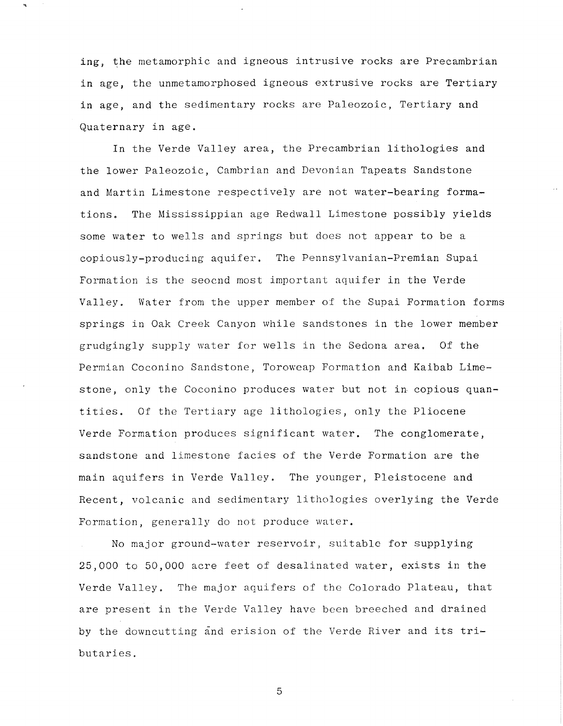ing, the metamorphic and igneous intrusive rocks are Precambrian **in** age, the unmetamorphosed igneous extrusive rocks are Tertiary in age, and the sedimentary rocks are Paleozoic, Tertiary and Quaternary in age.

In the Verde Valley area, the Precambrian lithologies and the lower Paleozoic, Cambrian and Devonian Tapeats Sandstone and Martin Limestone respectively are not water-bearing formations. The Mississippian age Redwall Limestone possibly yields some water to wells and springs but does not appear to be a copiously-producing aquifer. The Pennsylvanian-Premian Supai Formation is the seocnd most important aquifer in the Verde Valley. Water from the upper member of the Supai Formation forms springs in Oak Creek Canyon while sandstones in the lower member grudgingly supply water for wells in the Sedona area. Of the Permian Coconino Sandstone, Toroweap Formation and Kaibab Limestone, only the Coconino produces water but not in copious quantities. Of the Tertiary age lithologies, only the Pliocene Verde Formation produces significant water. The conglomerate, sandstone and limestone facies of the Verde Formation are the main aquifers in Verde Valley. The younger, Pleistocene and Recent, volcanic and sedimentary lithologies overlying the Verde Formation, generally do not produce water.

No major ground-water reservoir, suitable for supplying 25,000 to 50,000 acre feet of desalinated water, exists in the Verde Valley. The major aquifers of the Colorado Plateau, that are present in the Verde Valley have been breeched and drained by the downcutting and erision of the Verde River and its tributaries.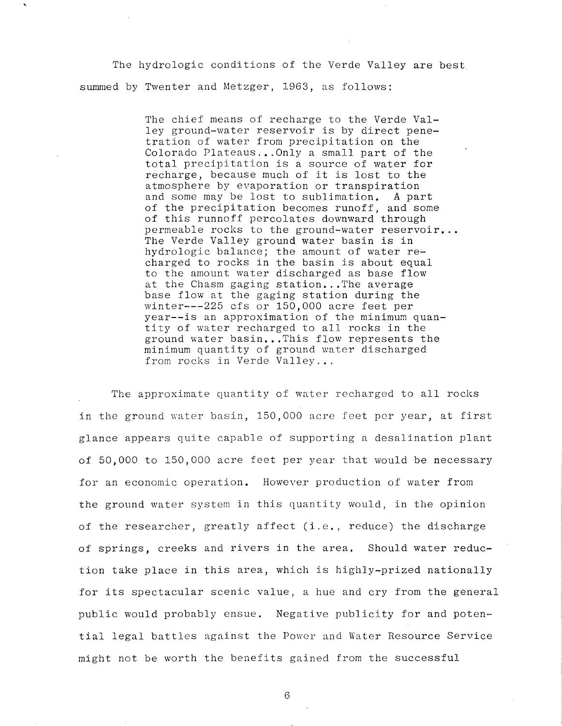The hydrologic conditions of the Verde Valley are best summed by Twenter and Metzger, 1963, as follows:

> The chief means of recharge to the Verde Valley ground-water reservoir is by direct penetration of water from precipitation on the Colorado Plateaus .•. Only <sup>a</sup> small part of the total precipitation is <sup>a</sup> source of water for recharge, because much of it is lost to the atmosphere by evaporation or transpiration and some may be lost to sublimation. <sup>A</sup> part of the precipitation becomes runoff, and some of this runnoff percolates downward through permeable rocks to the ground-water reservoir... The Verde Valley ground water basin is in hydrologic balance; the amount of water recharged to rocks in the basin is about equal to the amount water discharged as base flow at the Chasm gaging station...The average base flow at the gaging station during the winter---225 cfs or 150,000 acre feet per year--is an approximation of the minimum quantity of water recharged to all rocks in the ground water basin...This flow represents the minimum quantity of ground water discharged from rocks in Verde Valley...

The approximate quantity of water recharged to all rocks in the ground water basin, 150,000 acre feet per year, at first glance appears quite capable of supporting a desalination plant of 50,000 to 150,000 acre feet per year that would be necessary for an economic operation. However production of water from the ground water system in this quantity would, in the opinion of the researcher, greatly affect (i.e., reduce) the discharge of springs, creeks and rivers in the area. Should water reduction take place in this area, which is highly-prized nationally for its spectacular scenic value, <sup>a</sup> hue and cry from the general public would probably ensue. Negative publicity for and potential legal battles against the Power and Water Resource Service might not be worth the benefits gained from the successful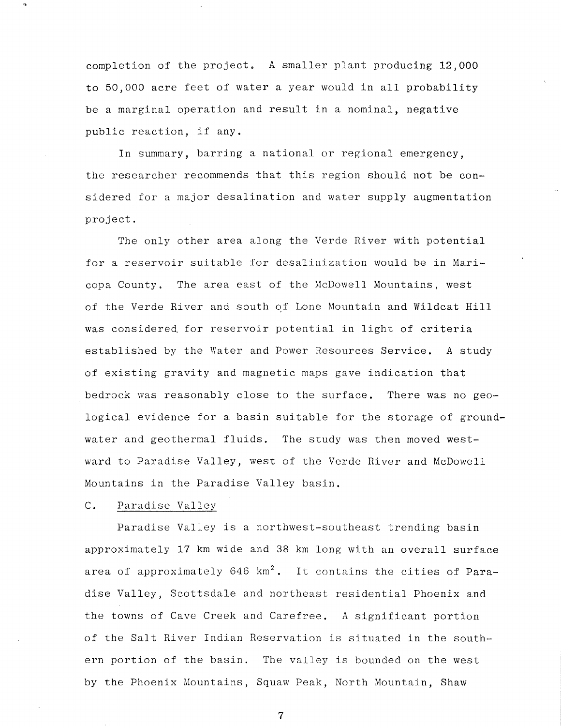completion of the project. A smaller plant producing 12,000 to 50,000 acre feet of water <sup>a</sup> year would in all probability be <sup>a</sup> marginal operation and result in <sup>a</sup> nominal, negative public reaction, if any.

In summary, barring a national or regional emergency, the researcher recommends that this region should not be considered for a major desalination and water supply augmentation project.

The only other area along the Verde River with potential for a reservoir suitable for desalinization would be in Maricopa County. The area east of the McDowell Mountains, west of the Verde River and south of Lone Mountain and Wildcat Hill was considered for reservoir potential in light of criteria established by the Water and Power Resources Service. A study of existing gravity and magnetic maps gave indication that bedrock was reasonably close to the surface. There was no geological evidence for a basin suitable for the storage of groundwater and geothermal fluids. The study was then moved westward to Paradise Valley, west of the Verde River and McDowell Mountains in the Paradise Valley basin.

#### C. Paradise Valley

Paradise Valley is <sup>a</sup> northwest-southeast trending basin approximately 17 km wide and 38 km long with an overall surface area of approximately  $646 \text{ km}^2$ . It contains the cities of Paradise Valley, Scottsdale and northeast residential Phoenix and the towns of Cave Creek and Carefree. A significant portion of the Salt River Indian Reservation is situated in the southern portion of the basin. The valley is bounded on the west by the Phoenix Mountains, Squaw Peak, North Mountain, Shaw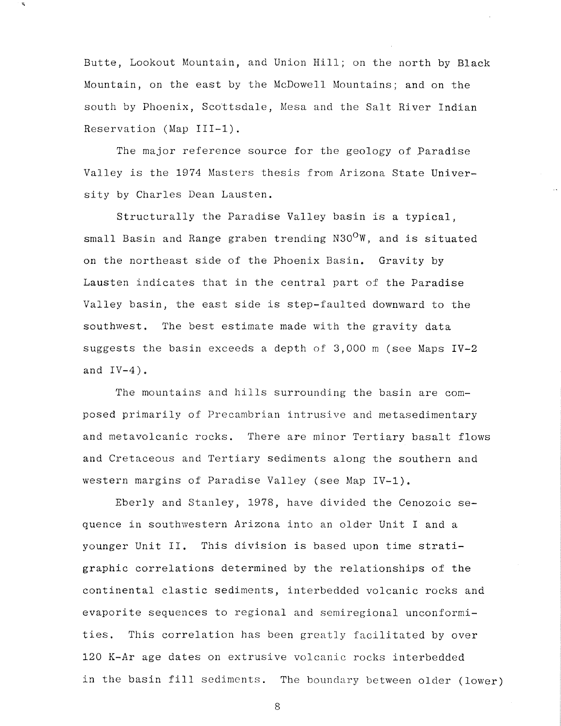Butte, Lookout Mountain, and Union Hill; on the north by Black Mountain, on the east by the McDowell Mountains; and on the south by Phoenix, Scottsdale, Mesa and the Salt River Indian Reservation (Map 111-1).

The major reference source for the geology of Paradise Valley is the 1974 Masters thesis from Arizona State University by Charles Dean Lausten.

Structurally the Paradise Valley basin is <sup>a</sup> typical, small Basin and Range graben trending  $N30^{\circ}$ W, and is situated on the northeast side of the Phoenix Basin. Gravity by Lausten indicates that in the central part of the Paradise Valley basin, the east side is step-faulted downward to the southwest. The best estimate made with the gravity data suggests the basin exceeds a depth of 3,000 m (see Maps IV-2 and  $IV-4$ ).

The mountains and hills surrounding the basin are composed primarily of Precambrian intrusive and metasedimentary and metavolcanic rocks. There are minor Tertiary basalt flows and Cretaceous and Tertiary sediments along the southern and western margins of Paradise Valley (see Map IV-1).

Eberly and Stanley, 1978, have divided the Cenozoic sequence in southwestern Arizona into an older Unit I and a younger Unit II. This division is based upon time stratigraphic correlations determined by the relationships of the continental clastic sediments, interbedded volcanic rocks and evaporite sequences to regional and semiregional unconformities. This correlation has been greatly facilitated by over 120 K-Ar age dates on extrusive volcanic rocks interbedded in the basin fill sediments. The boundary between older (lower)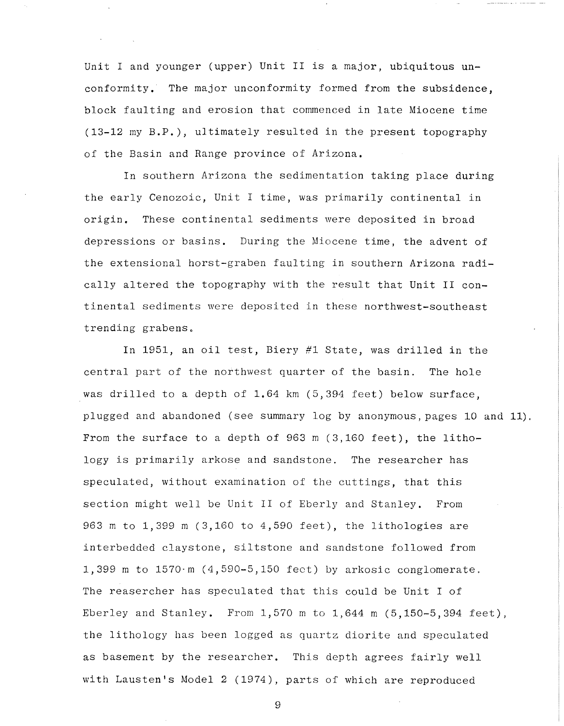Unit <sup>I</sup> and younger (upper) Unit II is <sup>a</sup> major, ubiquitous unconformity. The major unconformity formed from the subsidence, block faulting and erosion that commenced in late Miocene time (13-12 my B.P.), ultimately resulted in the present topography of the Basin and Range province of Arizona.

In southern Arizona the sedimentation taking place during the early Cenozoic, Unit I time, was primarily continental in origin. These continental sediments were deposited in broad depressions or basins. During the Miocene time, the advent of the extensional horst-graben faulting in southern Arizona radically altered the topography with the result that Unit II continental sediments were deposited in these northwest-southeast trending grabens.

In 1951, an oil test, Biery #1 State, was drilled in the central part of the northwest quarter of the basin. The hole was drilled to <sup>a</sup> depth of 1.64 km (5,394 feet) below surface, plugged and abandoned (see summary log by anonymous, pages 10 and 11). From the surface to <sup>a</sup> depth of 963 <sup>m</sup> (3,160 feet), the lithology is primarily arkose and sandstone. The researcher has speculated, without examination of the cuttings, that this section might well be Unit II of Eberly and Stanley. From 963 <sup>m</sup> to 1,399 <sup>m</sup> (3,160 to 4,590 feet), the lithologies are interbedded claystone, siltstone and sandstone followed from 1,399 m to 1570-m (4,590-5,150 feet) by arkosic conglomerate. The reasercher has speculated that this could be Unit <sup>I</sup> of Eberley and Stanley. From 1,570 <sup>m</sup> to 1,644 <sup>m</sup> (5,150-5,394 feet), the lithology has been logged as quartz diorite and speculated as basement by the researcher. This depth agrees fairly well with Lausten's Model 2 (1974), parts of which are reproduced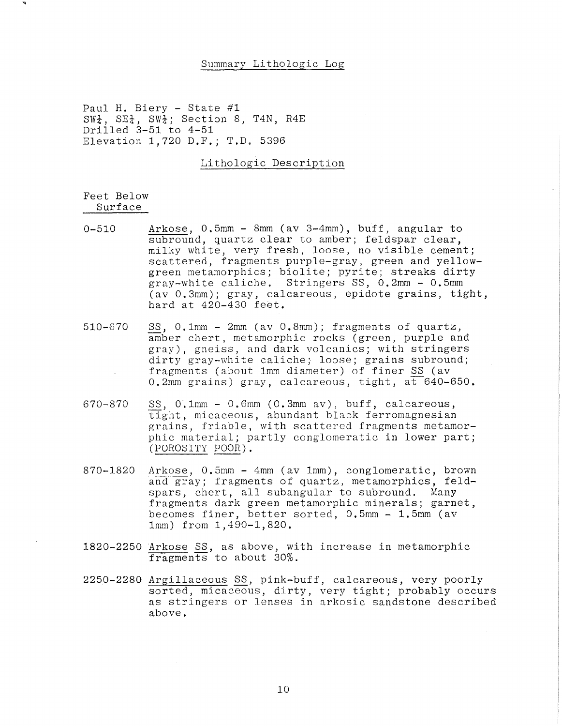#### Summary Lithologic Log

Paul **H.** Biery - State #1  $SW_{\alpha}^1$ ,  $SE_{\alpha}^1$ ,  $SW_{\alpha}^1$ ; Section 8, T4N, R4E Drilled 3-51 to 4-51 Elevation 1,720 D.F.; T.D. 5396

#### Lithologic Description

Feet Below Surface

- 0-510 Arkose, 0.5mm 8mm (av 3-4mm), buff, angular to subround, quartz clear to amber; feldspar clear, milky white, very fresh, loose, no visible cement; scattered, fragments purple-gray, green and yellowgreen metamorphics; biolite; pyrite; streaks dirty gray-white caliche. Stringers SS, 0.2mm - 0.5mm (av 0.3mm); gray, calcareous, epidote grains, tight, hard at 420-430 feet.
- 510-670 SS, O.lmm 2mm (av 0.8mm); fragments of quartz, amber chert, metamorphic rocks (green, purple and gray), gneiss, and dark volcanics; with stringers dirty gray-white caliche; loose; grains subround; fragments (about 1mm diameter) of finer SS (av 0.2mm grains) gray, calcareous, tight,  $a\overline{t}$  640-650.
- 670-870 SS, O.lmm 0.6mm (0.3mm av), buff, calcareous, tight, micaceous, abundant black ferromagnesian grains, friable, with scattered fragments metamorphic material; partly conglomeratic in lower part; (POROSITY POOR).
- 870-1820 Arkose, 0.5mm 4mm (av 1mm) , conglomeratic, brown and gray; fragments of quartz, metamorphics, feldspars, chert, all subangular to subround. Many fragments dark green metamorphic minerals; garnet, becomes finer, better sorted, 0.5mm - 1.5mm (av 1mm) from 1,490-1,820.
- 1820-2250 Arkose SS, as above, with increase in metamorphic fragments to about 30%.
- 2250-2280 Argillaceous SS, pink-buff, calcareous, very poorly sorted, micaceous, dirty, very tight; probably occurs as stringers or lenses in arkosic sandstone described above.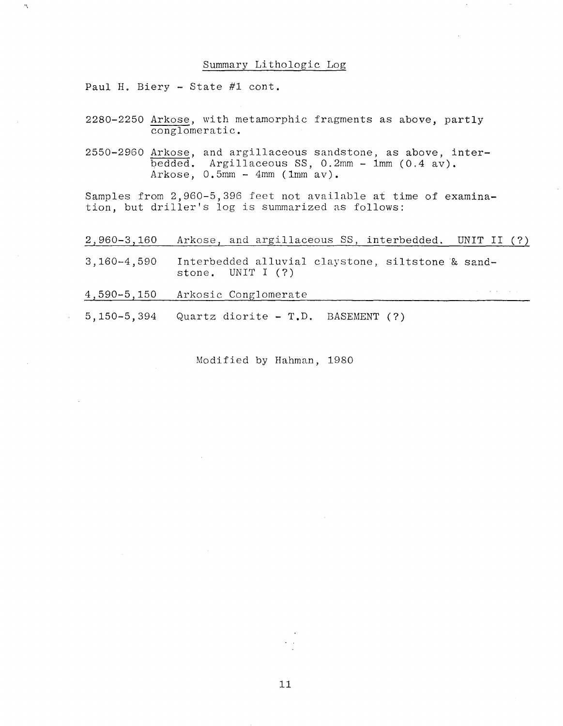#### Summary Lithologic Log

Paul H. Biery - State #1 cont.

 $\tilde{\mathcal{A}}$ 

2280-2250 Arkose, with metamorphic fragments as above, partly conglomeratic.

2550-2960 Arkose, and argillaceous sandstone, as above, interbedded. Argillaceous SS, 0.2mm - 1mm (0.4 av).  $Arkose, 0.5mm - 4mm (1mm av).$ 

Samples from 2,960-5,396 feet not available at time of examinabampics from 2,000 0,000 feet not available at the

| $2,960 - 3,160$ | Arkose, and argillaceous SS, interbedded. UNIT II (?)                  |
|-----------------|------------------------------------------------------------------------|
| $3,160-4,590$   | Interbedded alluvial claystone, siltstone & sand-<br>stone. UNIT I (?) |
|                 | 4,590-5,150 Arkosic Conglomerate                                       |
| $5,150-5,394$   | Quartz diorite - $T.D.$ BASEMENT (?)                                   |

Modified by Rahman, 1980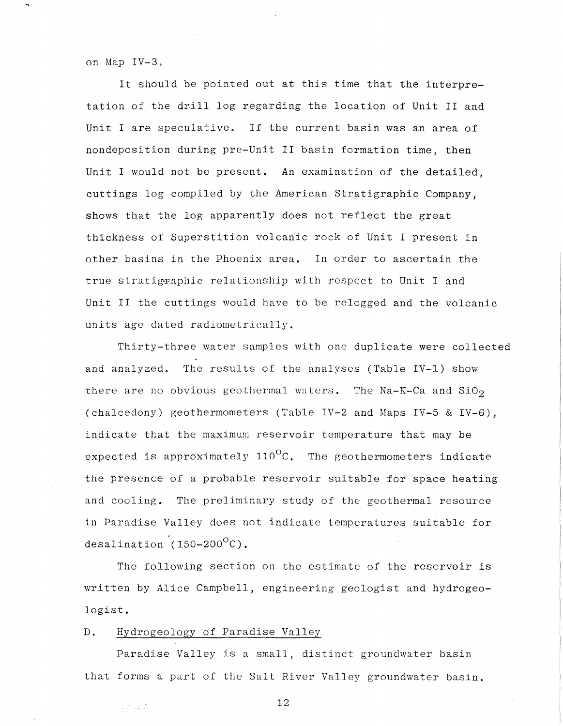on Map IV-3.

It should be pointed out at this time that the interpretation of the drill log regarding the location of Unit II and Unit <sup>I</sup> are speculative. If the current basin was an area of nondeposition during pre-Unit II basin formation time, then Unit I would not be present. An examination of the detailed, cuttings log compiled by the American Stratigraphic Company, shows that the log apparently does not reflect the great thickness of Superstition volcanic rock of Unit I present in other basins in the Phoenix area. In order to ascertain the true stratigraphic relationship with respect to Unit I and Unit II the cuttings would have to be relogged and the volcanic units age dated radiometrically.

Thirty-three water samples with one duplicate were collected and analyzed. The results of the analyses (Table IV-1) show there are no obvious geothermal waters. The Na-K-Ca and  $SiO<sub>2</sub>$ (chalcedony) geothermometers (Table IV-2 and Maps IV-5 & IV-6), indicate that the maximum reservoir temperature that may be expected is approximately  $110^{\circ}$ C. The geothermometers indicate the presence of a probable reservoir suitable for space heating and cooling. The preliminary study of the geothermal resource in Paradise Valley does not indicate temperatures suitable for desalination  $(150-200^{\circ}\text{C})$ .

The following section on the estimate of the reservoir is written by Alice Campbell, engineering geologist and hydrogeologist.

#### D. Hydrogeology of Paradise Valley

 $\frac{1}{2}\frac{1}{2}\left( \cos\varphi^2\right) \frac{d\varphi}{d\varphi}^2$ 

Paradise Valley is <sup>a</sup> small, distinct groundwater basin that forms a part of the Salt River Valley groundwater basin.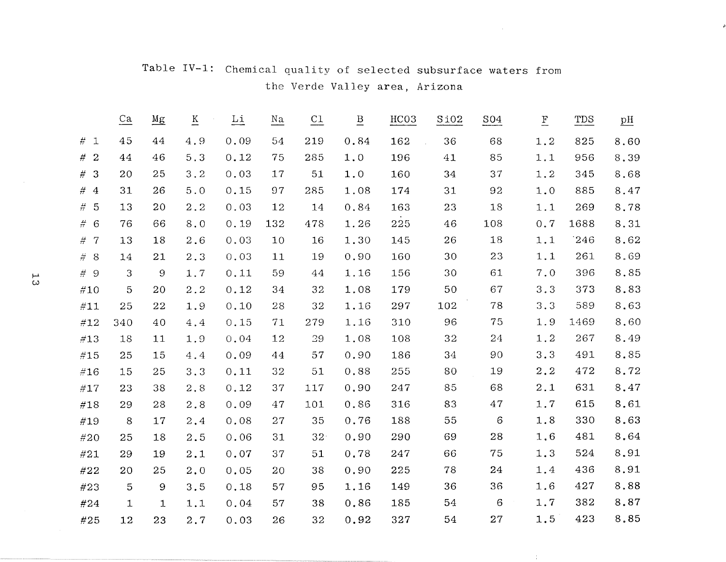## Table IV-I: Chemical quality of selected subsurface waters from the Verde Valley area, Arizona

 $\sim 10^{11}$  km  $^{-1}$ 

 $\frac{1}{2}$  .

|    |                        | $\frac{Ca}{2}$ | $\underline{Mg}$ | $\underline{\underline{\mathrm{K}}}$ | $\overline{\text{ri}}$ | Na  | $\underline{\text{C1}}$ | $\overline{\mathbf{B}}$ | HC <sub>03</sub> | Si02 | S <sub>04</sub> | $\underline{\underline{\mathrm{F}}}$ | TDS  | $\underline{\mathbf{p}}$ |
|----|------------------------|----------------|------------------|--------------------------------------|------------------------|-----|-------------------------|-------------------------|------------------|------|-----------------|--------------------------------------|------|--------------------------|
|    | #1                     | 45             | 44               | 4.9                                  | 0.09                   | 54  | 219                     | 0.84                    | 162              | 36   | 68              | 1.2                                  | 825  | 8.60                     |
|    | #<br>2                 | 44             | 46               | 5.3                                  | 0.12                   | 75  | 285                     | 1.0                     | 196              | 41   | 85              | 1.1                                  | 956  | 8.39                     |
|    | $\#$<br>$\mathbf{3}$   | 20             | 25               | 3.2                                  | 0.03                   | 17  | 51                      | 1.0                     | 160              | 34   | 37              | 1.2                                  | 345  | 8.68                     |
|    | $\#$<br>$\overline{4}$ | 31             | 26               | $5.0$                                | 0.15                   | 97  | 285                     | 1.08                    | 174              | 31   | 92              | 1.0                                  | 885  | 8.47                     |
|    | $\#$<br>$\overline{5}$ | 13             | 20               | 2.2                                  | 0.03                   | 12  | 14                      | 0.84                    | 163              | 23   | 18              | 1.1                                  | 269  | 8.78                     |
|    | $\#$<br>6              | 76             | 66               | 8.0                                  | 0.19                   | 132 | 478                     | 1.26                    | 225              | 46   | 108             | 0.7                                  | 1688 | 8.31                     |
|    | $\#$<br>$\overline{7}$ | 13             | 18               | 2.6                                  | 0.03                   | 10  | 16                      | 1.30                    | 145              | 26   | 18              | 1.1                                  | 246  | 8.62                     |
|    | $\tilde{\pi}$<br>8     | 14             | 21               | 2.3                                  | 0.03                   | 11  | 19                      | 0.90                    | 160              | 30   | 23              | 1.1                                  | 261  | 8.69                     |
|    | $\frac{\mu}{n}$<br>-9  | 3              | 9                | 1.7                                  | 0.11                   | 59  | 44                      | 1.16                    | 156              | 30   | 61              | 7.0                                  | 396  | 8.85                     |
| ເມ | #10                    | 5              | 20               | 2.2                                  | 0.12                   | 34  | 32                      | 1.08                    | 179              | 50   | 67              | 3.3                                  | 373  | 8.83                     |
|    | #11                    | 25             | 22               | 1.9                                  | 0.10                   | 28  | 32                      | 1.16                    | 297              | 102  | 78              | 3.3                                  | 589  | 8.63                     |
|    | #12                    | 340            | 40               | 4.4                                  | 0.15                   | 71  | 279                     | 1.16                    | 310              | 96   | 75              | 1.9                                  | 1469 | 8.60                     |
|    | #13                    | 18             | 11               | 1.9                                  | 0.04                   | 12  | 29                      | 1.08                    | 108              | 32   | 24              | 1.2                                  | 267  | 8.49                     |
|    | #15                    | 25             | 15               | 4.4                                  | 0.09                   | 44  | 57                      | 0.90                    | 186              | 34   | 90              | 3.3                                  | 491  | 8.85                     |
|    | #16                    | 15             | 25               | 3.3                                  | 0.11                   | 32  | 51                      | 0.88                    | 255              | 80   | 19              | 2.2                                  | 472  | 8.72                     |
|    | #17                    | 23             | 38               | 2.8                                  | 0.12                   | 37  | 117                     | 0.90                    | 247              | 85   | 68              | 2.1                                  | 631  | 8.47                     |
|    | #18                    | 29             | 28               | 2.8                                  | 0.09                   | 47  | 101                     | 0.86                    | 316              | 83   | 47              | 1.7                                  | 615  | 8.61                     |
|    | #19                    | 8              | 17               | $2\, . \, 4$                         | 0.08                   | 27  | 35                      | 0.76                    | 188              | 55   | 6               | 1.8                                  | 330  | 8.63                     |
|    | #20                    | 25             | 18               | 2.5                                  | 0.06                   | 31  | $32 -$                  | 0.90                    | 290              | 69   | 28              | 1.6                                  | 481  | 8.64                     |
|    | #21                    | 29             | 19               | 2.1                                  | 0.07                   | 37  | 51                      | 0.78                    | 247              | 66   | 75              | 1.3                                  | 524  | 8.91                     |
|    | #22                    | 20             | 25               | 2.0                                  | 0.05                   | 20  | 38                      | 0.90                    | 225              | 78   | 24              | 1.4                                  | 436  | 8.91                     |
|    | #23                    | 5              | 9                | 3.5                                  | 0.18                   | 57  | 95                      | 1.16                    | 149              | 36   | 36              | 1.6                                  | 427  | 8.88                     |
|    | #24                    | $\mathbf 1$    | $\mathbf{1}$     | 1.1                                  | 0.04                   | 57  | 38                      | 0.86                    | 185              | 54   | $\,6$           | 1.7                                  | 382  | 8.87                     |
|    | #25                    | 12             | 23               | 2.7                                  | 0.03                   | 26  | 32                      | 0.92                    | 327              | 54   | 27              | 1.5                                  | 423  | 8.85                     |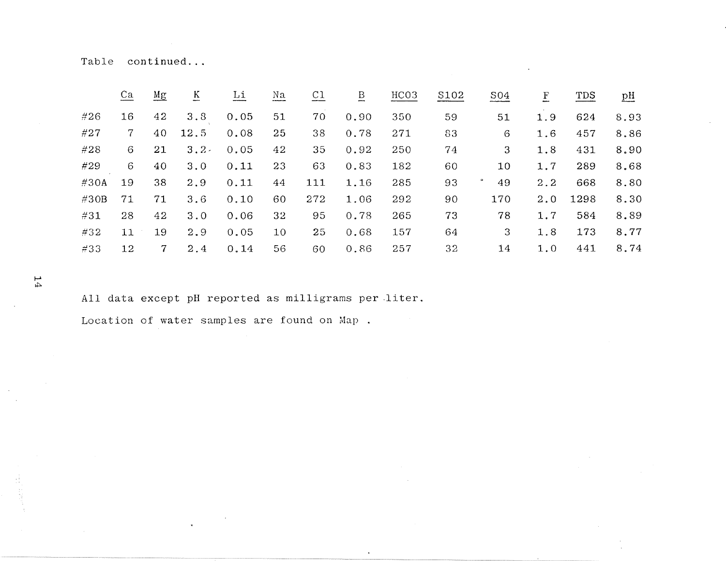Table continued...

|         | $\frac{Ca}{2}$ | $\underline{Mg}$ | $\overline{\mathbf{K}}$ | Li   | $\underline{\mathbb{N}}$ | C <sub>1</sub> | $\overline{B}$ | HCO <sub>3</sub> | S <sub>102</sub> | S <sub>04</sub> | $\overline{E}$ | TDS  | pH   |
|---------|----------------|------------------|-------------------------|------|--------------------------|----------------|----------------|------------------|------------------|-----------------|----------------|------|------|
| #26     | 16             | 42               | 3.8                     | 0.05 | 51                       | 70             | 0.90           | 350              | 59               | 51              | 1.9            | 624  | 8.93 |
| #27     | $7^{\circ}$    | 40               | 12.5                    | 0.08 | 25                       | 38             | 0.78           | 271              | 83               | 6               | 1.6            | 457  | 8.86 |
| #28     | 6              | 21               | $3.2 -$                 | 0.05 | 42                       | 35             | 0.92           | 250              | 74               | 3               | 1.8            | 431  | 8.90 |
| #29     | 6              | 40               | 3.0                     | 0.11 | 23                       | 63             | 0.83           | 182              | 60               | 10              | 1.7            | 289  | 8.68 |
| #30A    | 19             | 38               | 2.9                     | 0.11 | 44                       | 111            | 1.16           | 285              | 93               | $\circ$<br>49   | 2.2            | 668  | 8.80 |
| $\#30B$ | 71             | 71               | 3.6                     | 0.10 | 60                       | 272            | 1.06           | 292              | 90               | 170             | 2.0            | 1298 | 8.30 |
| #31     | 28             | 42               | 3.0                     | 0.06 | 32                       | 95             | 0.78           | 265              | 73               | 78              | 1.7            | 584  | 8.89 |
| #32     | 11             | 19               | 2.9                     | 0.05 | 10                       | 25             | 0.68           | 157              | 64               | 3               | 1.8            | 173  | 8.77 |
| #33     | 12             | 7                | 2.4                     | 0.14 | 56                       | 60             | 0.86           | 257              | 32               | 14              | 1.0            | 441  | 8,74 |

All data except pH reported as milligrams per .liter.

Location of water samples are found on Map .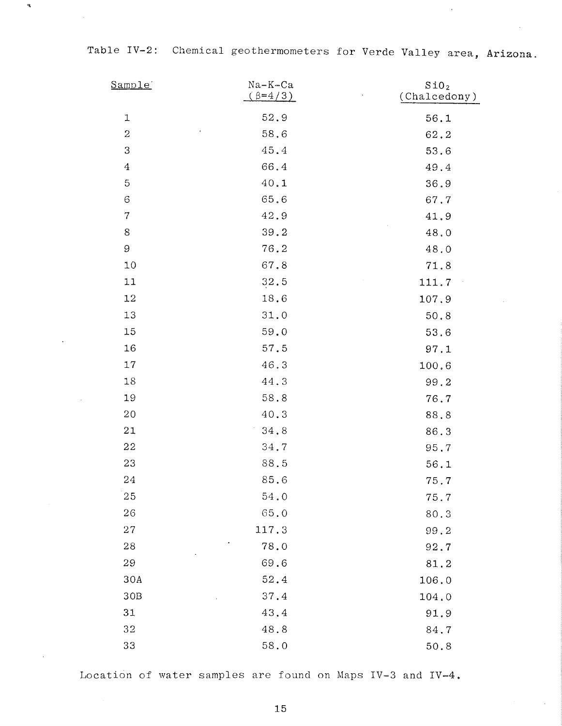$\pmb{r}$ 

| Sample <sup>®</sup>       | $Na-K-Ca$<br>$(\beta=4/3)$ | Si0 <sub>2</sub><br>(Chalcedony) |
|---------------------------|----------------------------|----------------------------------|
| $\mathbf{1}$              | 52.9                       | 56.1                             |
| $\boldsymbol{2}$          | 58.6                       | 62.2                             |
| $\ensuremath{\mathsf{3}}$ | 45.4                       | 53.6                             |
| $\overline{4}$            | 66.4                       | 49.4                             |
| 5                         | 40.1                       | 36.9                             |
| $\mathfrak S$             | 65.6                       | 67.7                             |
| 7                         | 42.9                       | 41.9                             |
| 8                         | 39.2                       | 48.0                             |
| 9                         | 76.2                       | 48.0                             |
| 10                        | 67.8                       | 71.8                             |
| 11                        | 32.5                       | 111.7                            |
| 12                        | 18.6                       | 107.9                            |
| 13                        | 31.0                       | 50.8                             |
| 15                        | 59.0                       | 53.6                             |
| 16                        | 57.5                       | 97.1                             |
| 17                        | 46.3                       | 100.6                            |
| 18                        | 44.3                       | 99.2                             |
| 19                        | 58.8                       | 76.7                             |
| 20                        | 40.3                       | 88.8                             |
| 21                        | 34.8                       | 86.3                             |
| 22                        | 34.7                       | 95.7                             |
| 23                        | 88.5                       | 56.1                             |
| 24                        | 85.6                       | 75.7                             |
| 25                        | 54.0                       | 75.7                             |
| 26                        | 65.0                       | 80.3                             |
| 27                        | 117.3                      | 99.2                             |
| 28                        | 78.0                       | 92.7                             |
| 29                        | 69.6                       | 81.2                             |
| 30A                       | 52.4                       | 106.0                            |
| 30B                       | 37.4                       | 104.0                            |
| 31                        | 43.4                       | 91.9                             |
| 32                        | 48.8                       | 84.7                             |
| 33                        | 58.0                       | 50.8                             |

Location of water samples are found on Maps IV-3 and IV-4.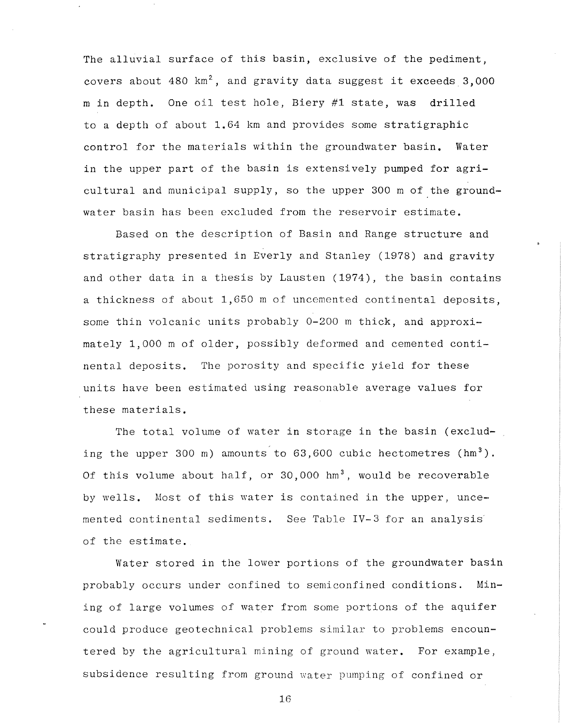The alluvial surface of this basin, exclusive of the pediment, covers about 480  $km^2$ , and gravity data suggest it exceeds 3,000 <sup>m</sup> in depth. One oil test hole, Biery #1 state, was drilled to a depth of about 1.64 km and provides some stratigraphic control for the materials within the groundwater basin. Water in the upper part of the basin is extensively pumped for agricultural and municipal supply, so the upper 300 m of the groundwater basin has been excluded from the reservoir estimate.

Based on the description of Basin and Range structure and stratigraphy presented in Everly and Stanley (1978) and gravity and other data in a thesis by Lausten (1974), the basin contains a thickness of about 1,650 m of uncemented continental deposits, some thin volcanic units probably 0-200 m thick, and approximately 1,000 m of older, possibly deformed and cemented continental deposits. The porosity and specific yield for these units have been estimated using reasonable average values for these materials.

The total volume of water in storage in the basin (excluding the upper 300 m) amounts to  $63,600$  cubic hectometres (hm<sup>3</sup>). Of this volume about half, or  $30,000$  hm<sup>3</sup>, would be recoverable by wells. Most of this water is contained in the upper, uncemented continental sediments. See Table IV-3 for an analysis of the estimate.

Water stored in the lower portions of the groundwater basin probably occurs under confined to semiconfined conditions. Mining of large volumes of water from some portions of the aquifer could produce geotechnical problems similar to problems encountered by the agricultural mining of ground water. For example, subsidence resulting from ground water pumping of confined or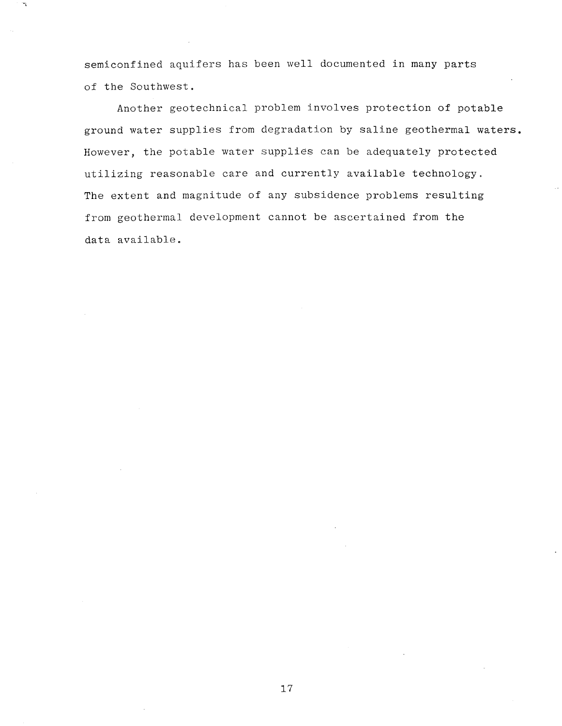semiconfined aquifers has been well documented in many parts of the Southwest.

Another geotechnical problem involves protection of potable ground water supplies from degradation by saline geothermal waters. However, the potable water supplies can be adequately protected utilizing reasonable care and currently available technology. The extent and magnitude of any subsidence problems resulting from geothermal development cannot be ascertained from the data available.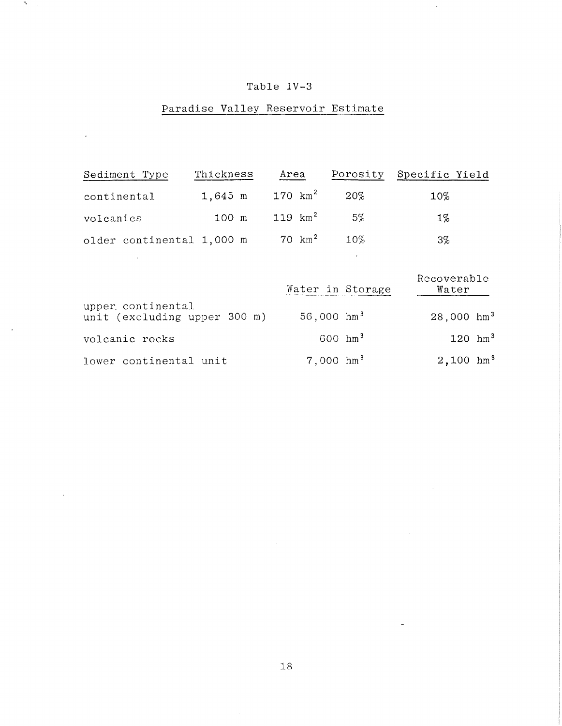### Table IV-3

 $\mathcal{A}$ 

|  | Paradise Valley Reservoir Estimate |  |
|--|------------------------------------|--|
|  |                                    |  |

-.

 $\bar{z}$ 

 $\overline{\phantom{a}}$ 

| Sediment Type             | Thickness | Area                  |      | Porosity Specific Yield |
|---------------------------|-----------|-----------------------|------|-------------------------|
| continental               | $1,645$ m | $170$ km <sup>2</sup> | -20% | 10%                     |
| volcanics                 | 100 m     | 119 $km^2$            | 5%   | $1\%$                   |
| older continental 1,000 m |           | $70 \text{ km}^2$     | 10%  | 3%                      |

|                                                   | Water in Storage       | Recoverable<br>Water  |                    |
|---------------------------------------------------|------------------------|-----------------------|--------------------|
| upper continental<br>unit (excluding upper 300 m) | 56,000 $\text{hm}^3$   | $28,000 \text{ hm}^3$ |                    |
| volcanic rocks                                    | 600 hm <sup>3</sup>    |                       | $120 \text{ hm}^3$ |
| lower continental unit                            | $7,000 \; \text{hm}^3$ | $2,100 \text{ hm}^3$  |                    |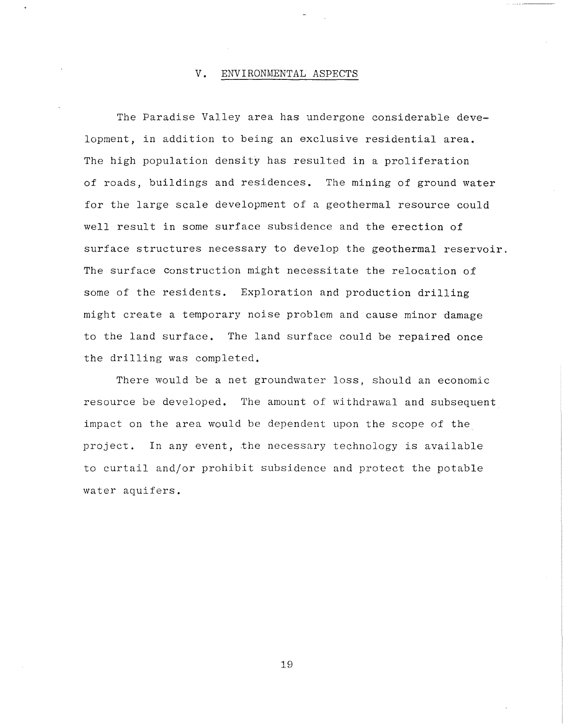#### V. ENVIRONMENTAL ASPECTS

The Paradise Valley area has undergone considerable development, in addition to being an exclusive residential area. The high population density has resulted in <sup>a</sup> proliferation of roads, buildings and residences. The mining of ground water for the large scale development of a geothermal resource could well result in some surface subsidence and the erection of surface structures necessary to develop the geothermal reservoir. The surface construction might necessitate the relocation of some of the residents. Exploration and production drilling might create a temporary noise problem and cause minor damage to the land surface. The land surface could be repaired once the drilling was completed.

There would be a net groundwater loss, should an economic resource be developed. The amount of withdrawal and subsequent impact on the area would be dependent upon the scope of the project. In any event, the necessary technology is available to curtail and/or prohibit subsidence and protect the potable water aquifers.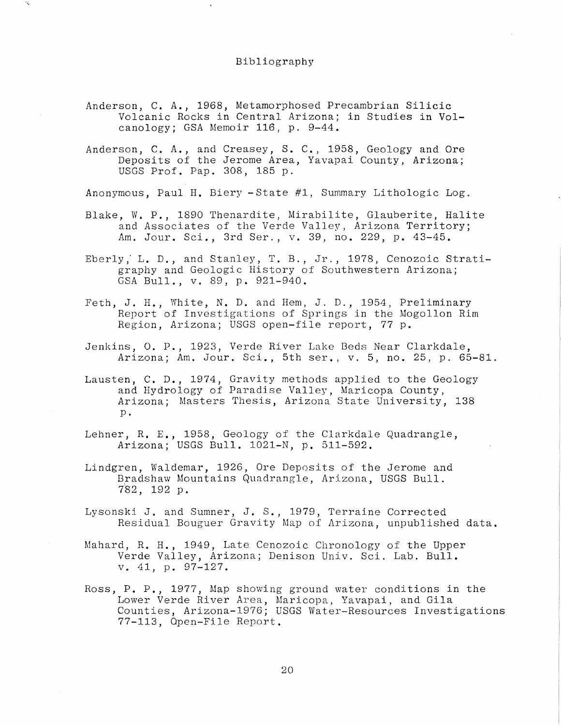#### Bibliography

- Anderson, C. *A.,* 1968, Metamorphosed Precambrian Silicic Volcanic Rocks in Central Arizona; in Studies in Volcanology; GSA Memoir 116, p. 9-44.
- Anderson, C. A., and Creasey, S. C., 1958, Geology and Ore Deposits of the Jerome Area, Yavapai County, Arizona; USGS Prof. Pap. 308, 185 p.

Anonymous, Paul H. Biery -State #1, Summary Lithologic Log.

- Blake, W. P., 1890 Thenardite, Mirabilite, Glauberite, Halite and Associates of the Verde Valley, Arizona Territory; Am. Jour. Sci., 3rd Ser., v. 39, no. 229, p. 43-45.
- Eberly,' L. D., and Stanley, T. B., Jr., 1978, Cenozoic Stratigraphy and Geologic History of Southwestern Arizona; GSA Bull., v. 89, p. 921-940.
- Feth, J. H., White, N. D. and Hem, J. D., 1954, Preliminary Report of Investigations of Springs in the Mogollon Rim Region, Arizona; USGS open-file report, 77 p.
- Jenkins, O. P., 1923, Verde River Lake Beds Near Clarkdale, Arizona; Am. Jour. Sci., 5th ser., v. 5, no. 25, p. 65-81.
- Lausten, C. D., 1974, Gravity methods applied to the Geology and Hydrology of Paradise Valley, Maricopa County, Arizona; Masters Thesis, Arizona State University, 138 p.
- Lehner, R. E., 1958, Geology of the Clarkdale Quadrangle, Arizona; USGS Bull. 1021-N, p. 511-592.
- Lindgren, Waldemar, 1926, Ore Deposits of the Jerome and Bradshaw Mountains Quadrangle, Arizona, USGS Bull. 782, 192 p.
- Lysonski J. and Sumner, J. S., 1979, Terraine Corrected Residual Bouguer Gravity Map of Arizona, unpublished data.
- Mahard, R. H., 1949, Late Cenozoic Chronology of the Upper Verde Valley, Arizona; Denison Univ. Sci. Lab. Bull. v. 41, p. 97-127.
- Ross, P. P., 1977, Map showing ground water conditions in the Lower Verde River Area, Maricopa, Yavapai, and Gila Counties, Arizona-1976; USGS Water-Resources Investigations 77-113, Open-File Report.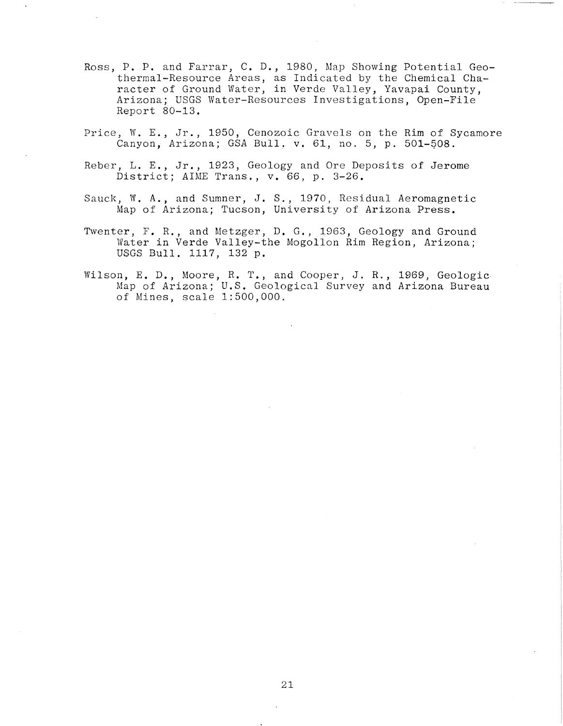- Ross, P. P. and Farrar, C. D., 1980, Map Showing Potential Geothermal-Resource Areas, as Indicated by the Chemical Character of Ground Water, in Verde Valley, Yavapai County, Arizona; USGS Water-Resources Investigations, Open-File Report 80-13.
- Price, W. E., Jr., 1950, Cenozoic Gravels on the Rim of Sycamore Canyon, Arizona; GSA Bull. v. 61, no. 5, p. 501-508.
- Reber, L. E., Jr., 1923, Geology and Ore Deposits of Jerome District; AIME Trans., v. 66, p. 3-26.
- Sauck, W. *A.,* and Sumner, J. S., 1970, Residual Aeromagnetic Map of Arizona; Tucson, University of Arizona Press.
- Twenter, F. R., and Metzger, D. G., 1963, Geology and Ground Water in Verde Valley-the Mogollon Rim Region, Arizona; USGS Bull. 1117, 132 p.
- Wilson, E. D., Moore, R. T., and Cooper, J. R., 1969, Geologic Map of Arizona; U.S. Geological Survey and Arizona Bureau of Mines, scale 1:500,000.